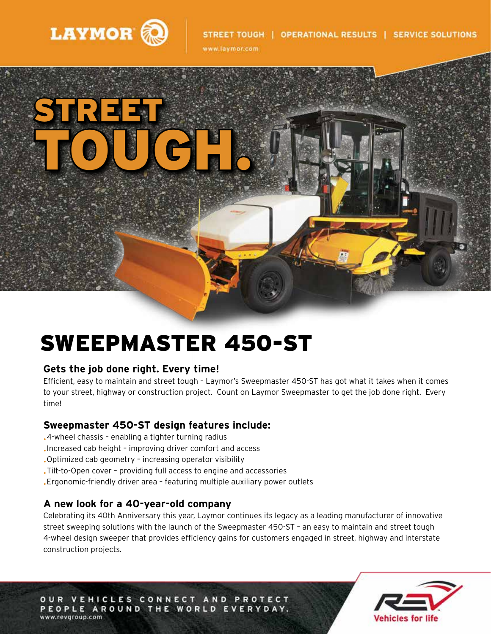

www.laymor.com



# SWEEPMASTER 450-ST

#### **Gets the job done right. Every time!**

Efficient, easy to maintain and street tough – Laymor's Sweepmaster 450-ST has got what it takes when it comes to your street, highway or construction project. Count on Laymor Sweepmaster to get the job done right. Every time!

#### **Sweepmaster 450-ST design features include:**

- •4-wheel chassis enabling a tighter turning radius
- •Increased cab height improving driver comfort and access
- •Optimized cab geometry increasing operator visibility
- •Tilt-to-Open cover providing full access to engine and accessories
- •Ergonomic-friendly driver area featuring multiple auxiliary power outlets

#### **A new look for a 40-year-old company**

Celebrating its 40th Anniversary this year, Laymor continues its legacy as a leading manufacturer of innovative street sweeping solutions with the launch of the Sweepmaster 450-ST – an easy to maintain and street tough 4-wheel design sweeper that provides efficiency gains for customers engaged in street, highway and interstate construction projects.

OUR VEHICLES CONNECT AND PROTECT PEOPLE AROUND THE WORLD EVERYDAY. www.revgroup.com